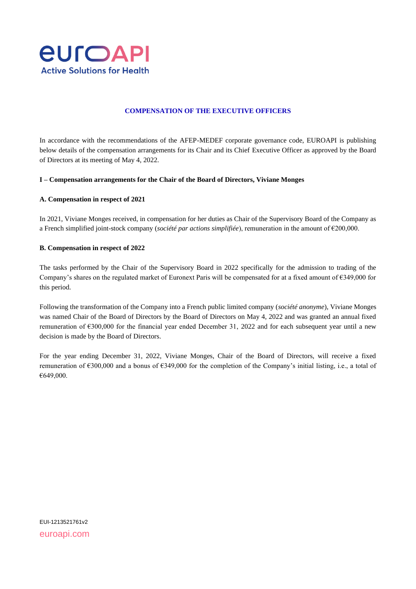

# **COMPENSATION OF THE EXECUTIVE OFFICERS**

In accordance with the recommendations of the AFEP-MEDEF corporate governance code, EUROAPI is publishing below details of the compensation arrangements for its Chair and its Chief Executive Officer as approved by the Board of Directors at its meeting of May 4, 2022.

## **I – Compensation arrangements for the Chair of the Board of Directors, Viviane Monges**

### **A. Compensation in respect of 2021**

In 2021, Viviane Monges received, in compensation for her duties as Chair of the Supervisory Board of the Company as a French simplified joint-stock company (*société par actions simplifiée*), remuneration in the amount of €200,000.

### **B. Compensation in respect of 2022**

The tasks performed by the Chair of the Supervisory Board in 2022 specifically for the admission to trading of the Company's shares on the regulated market of Euronext Paris will be compensated for at a fixed amount of €349,000 for this period.

Following the transformation of the Company into a French public limited company (*société anonyme*), Viviane Monges was named Chair of the Board of Directors by the Board of Directors on May 4, 2022 and was granted an annual fixed remuneration of €300,000 for the financial year ended December 31, 2022 and for each subsequent year until a new decision is made by the Board of Directors.

For the year ending December 31, 2022, Viviane Monges, Chair of the Board of Directors, will receive a fixed remuneration of €300,000 and a bonus of €349,000 for the completion of the Company's initial listing, i.e., a total of €649,000.

EUI-1213521761v2 euroapi.com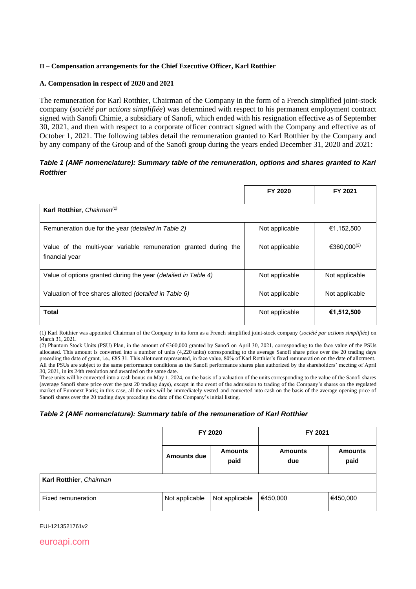## **II – Compensation arrangements for the Chief Executive Officer, Karl Rotthier**

## **A. Compensation in respect of 2020 and 2021**

The remuneration for Karl Rotthier, Chairman of the Company in the form of a French simplified joint-stock company (*société par actions simplifiée*) was determined with respect to his permanent employment contract signed with Sanofi Chimie, a subsidiary of Sanofi, which ended with his resignation effective as of September 30, 2021, and then with respect to a corporate officer contract signed with the Company and effective as of October 1, 2021. The following tables detail the remuneration granted to Karl Rotthier by the Company and by any company of the Group and of the Sanofi group during the years ended December 31, 2020 and 2021:

# *Table 1 (AMF nomenclature): Summary table of the remuneration, options and shares granted to Karl Rotthier*

|                                                                                    | FY 2020        | FY 2021                 |
|------------------------------------------------------------------------------------|----------------|-------------------------|
| Karl Rotthier, Chairman <sup>(1)</sup>                                             |                |                         |
| Remuneration due for the year (detailed in Table 2)                                | Not applicable | €1,152,500              |
| Value of the multi-year variable remuneration granted during the<br>financial year | Not applicable | €360.000 <sup>(2)</sup> |
| Value of options granted during the year (detailed in Table 4)                     | Not applicable | Not applicable          |
| Valuation of free shares allotted (detailed in Table 6)                            | Not applicable | Not applicable          |
| Total                                                                              | Not applicable | €1,512,500              |

(1) Karl Rotthier was appointed Chairman of the Company in its form as a French simplified joint-stock company (*société par actions simplifiée*) on March 31, 2021.

(2) Phantom Stock Units (PSU) Plan, in the amount of €360,000 granted by Sanofi on April 30, 2021, corresponding to the face value of the PSUs allocated. This amount is converted into a number of units (4,220 units) corresponding to the average Sanofi share price over the 20 trading days preceding the date of grant, i.e., €85.31. This allotment represented, in face value, 80% of Karl Rotthier's fixed remuneration on the date of allotment. All the PSUs are subject to the same performance conditions as the Sanofi performance shares plan authorized by the shareholders' meeting of April 30, 2021, in its 24th resolution and awarded on the same date.

These units will be converted into a cash bonus on May 1, 2024, on the basis of a valuation of the units corresponding to the value of the Sanofi shares (average Sanofi share price over the past 20 trading days), except in the event of the admission to trading of the Company's shares on the regulated market of Euronext Paris; in this case, all the units will be immediately vested and converted into cash on the basis of the average opening price of Sanofi shares over the 20 trading days preceding the date of the Company's initial listing.

## *Table 2 (AMF nomenclature): Summary table of the remuneration of Karl Rotthier*

|                         | FY 2020            |                        | FY 2021               |                        |  |
|-------------------------|--------------------|------------------------|-----------------------|------------------------|--|
|                         | <b>Amounts due</b> | <b>Amounts</b><br>paid | <b>Amounts</b><br>due | <b>Amounts</b><br>paid |  |
| Karl Rotthier, Chairman |                    |                        |                       |                        |  |
| Fixed remuneration      | Not applicable     | Not applicable         | €450,000              | €450,000               |  |

EUI-1213521761v2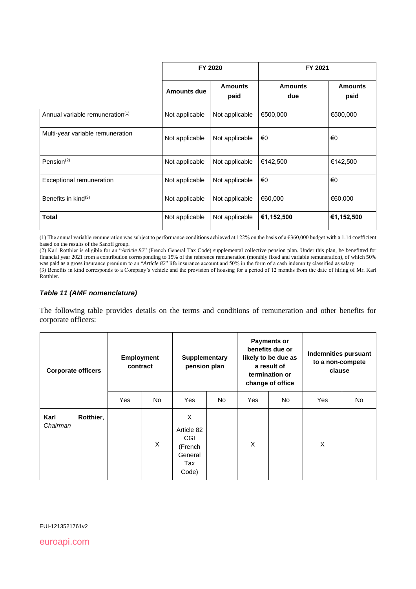|                                             | FY 2020            |                        | FY 2021               |                        |  |
|---------------------------------------------|--------------------|------------------------|-----------------------|------------------------|--|
|                                             | <b>Amounts due</b> | <b>Amounts</b><br>paid | <b>Amounts</b><br>due | <b>Amounts</b><br>paid |  |
| Annual variable remuneration <sup>(1)</sup> | Not applicable     | Not applicable         | €500,000              | €500,000               |  |
| Multi-year variable remuneration            | Not applicable     | Not applicable         | €0                    | €0                     |  |
| Pension $(2)$                               | Not applicable     | Not applicable         | €142,500              | €142,500               |  |
| Exceptional remuneration                    | Not applicable     | Not applicable         | €0                    | €0                     |  |
| Benefits in $\text{kind}^{(3)}$             | Not applicable     | Not applicable         | €60,000               | €60,000                |  |
| <b>Total</b>                                | Not applicable     | Not applicable         | €1,152,500            | €1,152,500             |  |

(1) The annual variable remuneration was subject to performance conditions achieved at 122% on the basis of a  $6360,000$  budget with a 1.14 coefficient based on the results of the Sanofi group.

(2) Karl Rotthier is eligible for an "*Article 82*" (French General Tax Code) supplemental collective pension plan. Under this plan, he benefitted for financial year 2021 from a contribution corresponding to 15% of the reference remuneration (monthly fixed and variable remuneration), of which 50% was paid as a gross insurance premium to an "*Article 82*" life insurance account and 50% in the form of a cash indemnity classified as salary.

(3) Benefits in kind corresponds to a Company's vehicle and the provision of housing for a period of 12 months from the date of hiring of Mr. Karl Rotthier.

# *Table 11 (AMF nomenclature)*

The following table provides details on the terms and conditions of remuneration and other benefits for corporate officers:

| <b>Corporate officers</b>     | <b>Employment</b><br>contract |     | <b>Supplementary</b><br>pension plan                                |     | <b>Payments or</b><br>benefits due or<br>likely to be due as<br>a result of<br>termination or<br>change of office |     | <b>Indemnities pursuant</b><br>to a non-compete<br>clause |           |
|-------------------------------|-------------------------------|-----|---------------------------------------------------------------------|-----|-------------------------------------------------------------------------------------------------------------------|-----|-----------------------------------------------------------|-----------|
|                               | Yes                           | No. | Yes                                                                 | No. | Yes                                                                                                               | No. | Yes                                                       | <b>No</b> |
| Karl<br>Rotthier,<br>Chairman |                               | X   | X<br>Article 82<br><b>CGI</b><br>(French<br>General<br>Tax<br>Code) |     | X                                                                                                                 |     | X                                                         |           |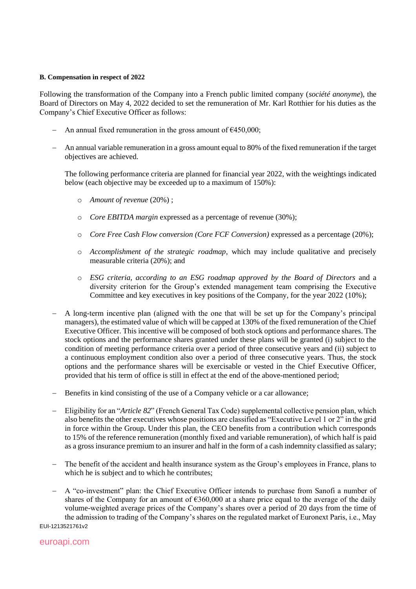### **B. Compensation in respect of 2022**

Following the transformation of the Company into a French public limited company (*société anonyme*), the Board of Directors on May 4, 2022 decided to set the remuneration of Mr. Karl Rotthier for his duties as the Company's Chief Executive Officer as follows:

- − An annual fixed remuneration in the gross amount of €450,000;
- − An annual variable remuneration in a gross amount equal to 80% of the fixed remuneration if the target objectives are achieved.

The following performance criteria are planned for financial year 2022, with the weightings indicated below (each objective may be exceeded up to a maximum of 150%):

- o *Amount of revenue* (20%) ;
- o *Core EBITDA margin* expressed as a percentage of revenue (30%);
- o *Core Free Cash Flow conversion (Core FCF Conversion)* expressed as a percentage (20%);
- o *Accomplishment of the strategic roadmap*, which may include qualitative and precisely measurable criteria (20%); and
- o *ESG criteria, according to an ESG roadmap approved by the Board of Directors* and a diversity criterion for the Group's extended management team comprising the Executive Committee and key executives in key positions of the Company, for the year 2022 (10%);
- A long-term incentive plan (aligned with the one that will be set up for the Company's principal managers), the estimated value of which will be capped at 130% of the fixed remuneration of the Chief Executive Officer. This incentive will be composed of both stock options and performance shares. The stock options and the performance shares granted under these plans will be granted (i) subject to the condition of meeting performance criteria over a period of three consecutive years and (ii) subject to a continuous employment condition also over a period of three consecutive years. Thus, the stock options and the performance shares will be exercisable or vested in the Chief Executive Officer, provided that his term of office is still in effect at the end of the above-mentioned period;
- − Benefits in kind consisting of the use of a Company vehicle or a car allowance;
- − Eligibility for an "*Article 82*" (French General Tax Code) supplemental collective pension plan, which also benefits the other executives whose positions are classified as "Executive Level 1 or 2" in the grid in force within the Group. Under this plan, the CEO benefits from a contribution which corresponds to 15% of the reference remuneration (monthly fixed and variable remuneration), of which half is paid as a gross insurance premium to an insurer and half in the form of a cash indemnity classified as salary;
- − The benefit of the accident and health insurance system as the Group's employees in France, plans to which he is subject and to which he contributes;
- − A "co-investment" plan: the Chief Executive Officer intends to purchase from Sanofi a number of shares of the Company for an amount of  $6360,000$  at a share price equal to the average of the daily volume-weighted average prices of the Company's shares over a period of 20 days from the time of the admission to trading of the Company's shares on the regulated market of Euronext Paris, i.e., May

EUI-1213521761v2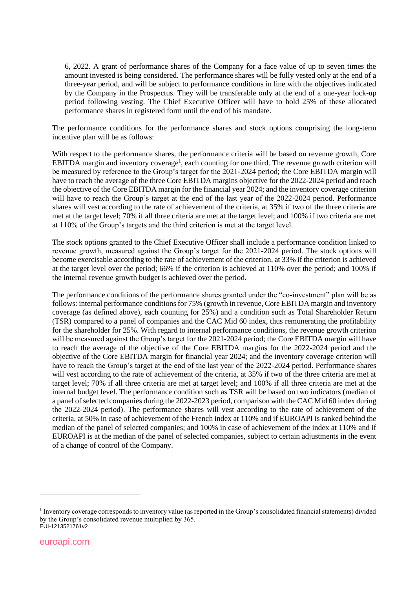6, 2022. A grant of performance shares of the Company for a face value of up to seven times the amount invested is being considered. The performance shares will be fully vested only at the end of a three-year period, and will be subject to performance conditions in line with the objectives indicated by the Company in the Prospectus. They will be transferable only at the end of a one-year lock-up period following vesting. The Chief Executive Officer will have to hold 25% of these allocated performance shares in registered form until the end of his mandate.

The performance conditions for the performance shares and stock options comprising the long-term incentive plan will be as follows:

With respect to the performance shares, the performance criteria will be based on revenue growth, Core EBITDA margin and inventory coverage<sup>1</sup>, each counting for one third. The revenue growth criterion will be measured by reference to the Group's target for the 2021-2024 period; the Core EBITDA margin will have to reach the average of the three Core EBITDA margins objective for the 2022-2024 period and reach the objective of the Core EBITDA margin for the financial year 2024; and the inventory coverage criterion will have to reach the Group's target at the end of the last year of the 2022-2024 period. Performance shares will vest according to the rate of achievement of the criteria, at 35% if two of the three criteria are met at the target level; 70% if all three criteria are met at the target level; and 100% if two criteria are met at 110% of the Group's targets and the third criterion is met at the target level.

The stock options granted to the Chief Executive Officer shall include a performance condition linked to revenue growth, measured against the Group's target for the 2021-2024 period. The stock options will become exercisable according to the rate of achievement of the criterion, at 33% if the criterion is achieved at the target level over the period; 66% if the criterion is achieved at 110% over the period; and 100% if the internal revenue growth budget is achieved over the period.

The performance conditions of the performance shares granted under the "co-investment" plan will be as follows: internal performance conditions for 75% (growth in revenue, Core EBITDA margin and inventory coverage (as defined above), each counting for 25%) and a condition such as Total Shareholder Return (TSR) compared to a panel of companies and the CAC Mid 60 index, thus remunerating the profitability for the shareholder for 25%. With regard to internal performance conditions, the revenue growth criterion will be measured against the Group's target for the 2021-2024 period; the Core EBITDA margin will have to reach the average of the objective of the Core EBITDA margins for the 2022-2024 period and the objective of the Core EBITDA margin for financial year 2024; and the inventory coverage criterion will have to reach the Group's target at the end of the last year of the 2022-2024 period. Performance shares will vest according to the rate of achievement of the criteria, at 35% if two of the three criteria are met at target level; 70% if all three criteria are met at target level; and 100% if all three criteria are met at the internal budget level. The performance condition such as TSR will be based on two indicators (median of a panel of selected companies during the 2022-2023 period, comparison with the CAC Mid 60 index during the 2022-2024 period). The performance shares will vest according to the rate of achievement of the criteria, at 50% in case of achievement of the French index at 110% and if EUROAPI is ranked behind the median of the panel of selected companies; and 100% in case of achievement of the index at 110% and if EUROAPI is at the median of the panel of selected companies, subject to certain adjustments in the event of a change of control of the Company.

EUI-1213521761v2 <sup>1</sup> Inventory coverage corresponds to inventory value (as reported in the Group's consolidated financial statements) divided by the Group's consolidated revenue multiplied by 365.